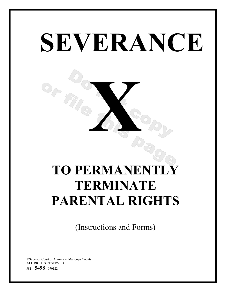# **SEVERANCE X TO PERMANENTLY TERMINATE PARENTAL RIGHTS**

(Instructions and Forms)

©Superior Court of Arizona in Maricopa County ALL RIGHTS RESERVED JS1 – **5498** - <sup>070122</sup>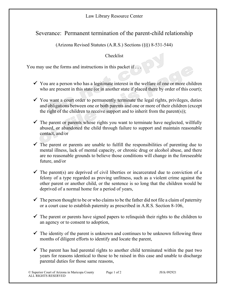## Law Library Resource Center

## Severance: Permanent termination of the parent-child relationship

(Arizona Revised Statutes (A.R.S.) Sections (§§) 8-531-544)

## Checklist

You may use the forms and instructions in this packet if ...

- $\checkmark$  You are a person who has a legitimate interest in the welfare of one or more children who are present in this state (or in another state if placed there by order of this court);
- $\checkmark$  You want a court order to permanently terminate the legal rights, privileges, duties and obligations between one or both parents and one or more of their children (except the right of the children to receive support and to inherit from the parent(s));
- $\checkmark$  The parent or parents whose rights you want to terminate have neglected, willfully abused, or abandoned the child through failure to support and maintain reasonable contact, and/or
- $\checkmark$  The parent or parents are unable to fulfill the responsibilities of parenting due to mental illness, lack of mental capacity, or chronic drug or alcohol abuse, and there are no reasonable grounds to believe those conditions will change in the foreseeable future, and/or
- $\checkmark$  The parent(s) are deprived of civil liberties or incarcerated due to conviction of a felony of a type regarded as proving unfitness, such as a violent crime against the other parent or another child, or the sentence is so long that the children would be deprived of a normal home for a period of years,
- $\checkmark$  The person thought to be or who claims to be the father did not file a claim of paternity or a court case to establish paternity as prescribed in A.R.S. Section 8-106,
- $\checkmark$  The parent or parents have signed papers to relinquish their rights to the children to an agency or to consent to adoption,
- $\checkmark$  The identity of the parent is unknown and continues to be unknown following three months of diligent efforts to identify and locate the parent,
- $\checkmark$  The parent has had parental rights to another child terminated within the past two years for reasons identical to those to be raised in this case and unable to discharge parental duties for those same reasons,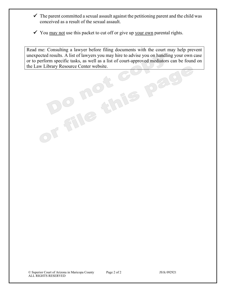- $\checkmark$  The parent committed a sexual assault against the petitioning parent and the child was conceived as a result of the sexual assault.
- $\checkmark$  You may not use this packet to cut off or give up your own parental rights.

Read me: Consulting a lawyer before filing documents with the court may help prevent unexpected results. A list of lawyers you may hire to advise you on handling your own case or to perform specific tasks, as well as a list of court-approved mediators can be found on the Law Library Resource Center website.

Dag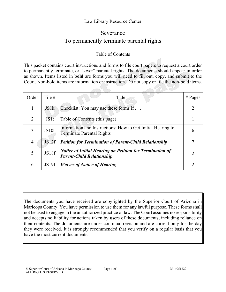#### Law Library Resource Center

# Severance To permanently terminate parental rights

### Table of Contents

This packet contains court instructions and forms to file court papers to request a court order to permanently terminate, or "sever" parental rights. The documents should appear in order as shown. Items listed in **bold** are forms you will need to fill out, copy, and submit to the Court. Non-bold items are information or instruction. Do not copy or file the non-bold items.

| Order          | File $#$    | Title                                                                                               | # Pages        |
|----------------|-------------|-----------------------------------------------------------------------------------------------------|----------------|
|                | JS1k        | Checklist: You may use these forms if                                                               |                |
| 2              | <b>JS1t</b> | Table of Contents (this page)                                                                       |                |
| 3              | JS10h       | Information and Instructions: How to Get Initial Hearing to<br><b>Terminate Parental Rights</b>     | 6              |
| $\overline{4}$ | JS12f       | <b>Petition for Termination of Parent-Child Relationship</b>                                        |                |
| 5              | JS18f       | <b>Notice of Initial Hearing on Petition for Termination of</b><br><b>Parent-Child Relationship</b> | $\overline{2}$ |
| 6              | JS19f       | <b>Waiver of Notice of Hearing</b>                                                                  |                |

The documents you have received are copyrighted by the Superior Court of Arizona in Maricopa County. You have permission to use them for any lawful purpose. These forms shall not be used to engage in the unauthorized practice of law. The Court assumes no responsibility and accepts no liability for actions taken by users of these documents, including reliance on their contents. The documents are under continual revision and are current only for the day they were received. It is strongly recommended that you verify on a regular basis that you have the most current documents.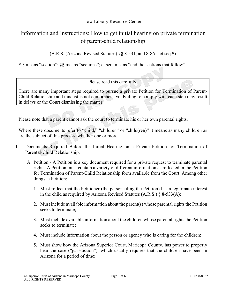Law Library Resource Center

# Information and Instructions: How to get initial hearing on private termination of parent-child relationship

(A.R.S. (Arizona Revised Statutes) §§ 8-531, and 8-861, et seq.**\***)

**\*** § means "section"; §§ means "sections"; et seq. means "and the sections that follow"

Please read this carefully.

There are many important steps required to pursue a private Petition for Termination of Parent-Child Relationship and this list is not comprehensive. Failing to comply with each step may result in delays or the Court dismissing the matter.

Please note that a parent cannot ask the court to terminate his or her own parental rights.

Where these documents refer to "child," "children" or "child(ren)" it means as many children as are the subject of this process, whether one or more.

- I. Documents Required Before the Initial Hearing on a Private Petition for Termination of Parental-Child Relationship.
	- A. Petition A Petition is a key document required for a private request to terminate parental rights. A Petition must contain a variety of different information as reflected in the Petition for Termination of Parent-Child Relationship form available from the Court. Among other things, a Petition:
		- 1. Must reflect that the Petitioner (the person filing the Petition) has a legitimate interest in the child as required by Arizona Revised Statutes  $(A.R.S.) \S 8-533(A);$
		- 2. Must include available information about the parent(s) whose parental rights the Petition seeks to terminate;
		- 3. Must include available information about the children whose parental rights the Petition seeks to terminate;
		- 4. Must include information about the person or agency who is caring for the children;
		- 5. Must show how the Arizona Superior Court, Maricopa County, has power to properly hear the case ("jurisdiction"), which usually requires that the children have been in Arizona for a period of time;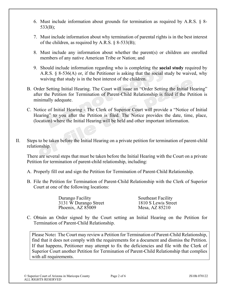- 6. Must include information about grounds for termination as required by A.R.S. § 8- 533(B);
- 7. Must include information about why termination of parental rights is in the best interest of the children, as required by A.R.S.  $\S$  8-533(B);
- 8. Must include any information about whether the parent(s) or children are enrolled members of any native American Tribe or Nation; and
- 9. Should include information regarding who is completing the **social study** required by A.R.S. § 8-536(A) or, if the Petitioner is asking that the social study be waived, why waiving that study is in the best interest of the children.
- B. Order Setting Initial Hearing. The Court will issue an "Order Setting the Initial Hearing" after the Petition for Termination of Parent-Child Relationship is filed if the Petition is minimally adequate.
- C. Notice of Initial Hearing The Clerk of Superior Court will provide a "Notice of Initial Hearing" to you after the Petition is filed. The Notice provides the date, time, place, (location) where the Initial Hearing will be held and other important information.
- II. Steps to be taken before the Initial Hearing on a private petition for termination of parent-child relationship.

There are several steps that must be taken before the Initial Hearing with the Court on a private Petition for termination of parent-child relationship, including:

- A. Properly fill out and sign the Petition for Termination of Parent-Child Relationship.
- B. File the Petition for Termination of Parent-Child Relationship with the Clerk of Superior Court at one of the following locations:

| Southeast Facility  |
|---------------------|
| 1810 S Lewis Street |
| Mesa, AZ 85210      |
|                     |

C. Obtain an Order signed by the Court setting an Initial Hearing on the Petition for Termination of Parent-Child Relationship.

Please Note**:** The Court may review a Petition for Termination of Parent-Child Relationship, find that it does not comply with the requirements for a document and dismiss the Petition. If that happens, Petitioner may attempt to fix the deficiencies and file with the Clerk of Superior Court another Petition for Termination of Parent-Child Relationship that complies with all requirements.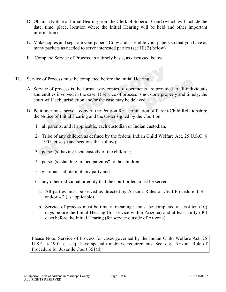- D. Obtain a Notice of Initial Hearing from the Clerk of Superior Court (which will include the date, time, place, location where the Initial Hearing will be held and other important information).
- E. Make copies and separate your papers. Copy and assemble your papers so that you have as many packets as needed to serve interested parties (see III(B) below).
- F. Complete Service of Process, in a timely basis, as discussed below.
- III. Service of Process must be completed before the initial Hearing.
	- A. Service of process is the formal way copies of documents are provided to all individuals and entities involved in the case. If service of process is not done properly and timely, the court will lack jurisdiction and/or the case may be delayed.
	- B. Petitioner must serve a copy of the Petition for Termination of Parent-Child Relationship; the Notice of Initial Hearing and the Order signed by the Court on:
		- 1. all parents, and if applicable, each custodian or Indian custodian,
		- 2. Tribe of any children as defined by the federal Indian Child Welfare Act, 25 U.S.C. § 1901, et seq. (and sections that follow);
		- 3. person(s) having legal custody of the children;
		- 4. person(s) standing in loco parentis\* to the children;
		- 5. guardians ad litem of any party and
		- 6. any other individual or entity that the court orders must be served.
			- a. All parties must be served as directed by Arizona Rules of Civil Procedure 4, 4.1 and/or 4.2 (as applicable).
			- b. Service of process must be timely, meaning it must be completed at least ten (10) days before the Initial Hearing (for service within Arizona) and at least thirty (30) days before the Initial Hearing (for service outside of Arizona).

Please Note: Service of Process for cases governed by the Indian Child Welfare Act, 25 U.S.C. § 1901, et. seq., have special timeliness requirements. See, e.g., Arizona Rule of Procedure for Juvenile Court 351(d).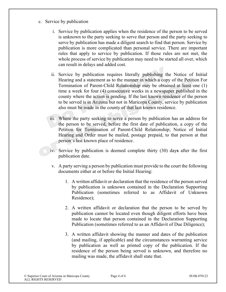- c. Service by publication
	- i. Service by publication applies when the residence of the person to be served is unknown to the party seeking to serve that person and the party seeking to serve by publication has made a diligent search to find that person. Service by publication is more complicated than personal service. There are important rules that apply to service by publication. If those rules are not met, the whole process of service by publication may need to be started all over, which can result in delays and added cost.
	- ii. Service by publication requires literally publishing the Notice of Initial Hearing and a statement as to the manner in which a copy of the Petition For Termination of Parent-Child Relationship may be obtained at least one (1) time a week for four (4) consecutive weeks in a newspaper published in the county where the action is pending. If the last known residence of the person to be served is in Arizona but not in Maricopa County, service by publication also must be made in the county of that last known residence.
	- iii. Where the party seeking to serve a person by publication has an address for the person to be served, before the first date of publication, a copy of the Petition for Termination of Parent-Child Relationship; Notice of Initial Hearing and Order must be mailed, postage prepaid, to that person at that person's last known place of residence.
	- iv. Service by publication is deemed complete thirty (30) day**s** after the first publication date.
	- v. A party serving a person by publication must provide to the court the following documents either at or before the Initial Hearing:
		- 1. A written affidavit or declaration that the residence of the person served by publication is unknown contained in the Declaration Supporting Publication (sometimes referred to as Affidavit of Unknown Residence);
		- 2. A written affidavit or declaration that the person to be served by publication cannot be located even though diligent efforts have been made to locate that person contained in the Declaration Supporting Publication (sometimes referred to as an Affidavit of Due Diligence);
		- 3. A written affidavit showing the manner and dates of the publication (and mailing, if applicable) and the circumstances warranting service by publication as well as printed copy of the publication. If the residence of the person being served is unknown, and therefore no mailing was made, the affidavit shall state that.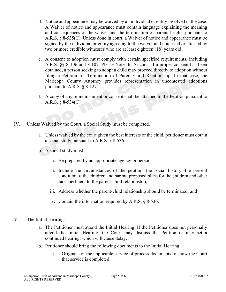- d. Notice and appearance may be waived by an individual or entity involved in the case. A Waiver of notice and appearance must contain language explaining the meaning and consequences of the waiver and the termination of parental rights pursuant to A.R.S. § 8-535(C). Unless done in court, a Waiver of notice and appearance must be signed by the individual or entity agreeing to the waiver and notarized or attested by two or more credible witnesses who are at least eighteen (18) years old.
- e. A consent to adoption must comply with certain specified requirements, including A.R.S. §§ 8-106 and 8-107. Please Note: In Arizona, if a proper consent has been obtained, a person seeking to adopt a child may proceed directly to adoption without filing a Petition for Termination of Parent-Child Relationship. In that case, the Maricopa County Attorney provides representation in uncontested adoptions pursuant to A.R.S. § 8-127.
- f. A copy of any relinquishment or consent shall be attached to the Petition pursuant to A.R.S. § 8-534(C).
- IV. Unless Waived by the Court, a Social Study must be completed.
	- a. Unless waived by the court given the best interests of the child, petitioner must obtain a social study pursuant to A.R.S. § 8-536.
	- b. A social study must:
		- i. Be prepared by an appropriate agency or person;
		- ii. Include the circumstances of the petition, the social history, the present condition of the children and parent, proposed plans for the children and other facts pertinent to the parent-child relationship;
		- iii. Address whether the parent-child relationship should be terminated; and
		- iv. Contain the information required by A.R.S. § 8-536.
- V. The Initial Hearing.
	- a. The Petitioner must attend the Initial Hearing. If the Petitioner does not personally attend the Initial Hearing, the Court may dismiss the Petition or may set a continued hearing, which will cause delay.
	- b. Petitioner should bring the following documents to the Initial Hearing:
		- i. Originals of the applicable service of process documents to show the Court that service is completed;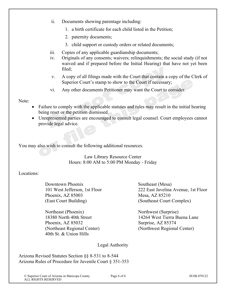- ii. Documents showing parentage including:
	- 1. a birth certificate for each child listed in the Petition;
	- 2. paternity documents;
	- 3. child support or custody orders or related documents;
- iii. Copies of any applicable guardianship documents;
- iv. Originals of any consents; waivers; relinquishments; the social study (if not waived and if prepared before the Initial Hearing) that have not yet been filed;
- v. A copy of all filings made with the Court that contain a copy of the Clerk of Superior Court's stamp to show to the Court if necessary;
- vi. Any other documents Petitioner may want the Court to consider.

Note:

- Failure to comply with the applicable statutes and rules may result in the initial hearing being reset or the petition dismissed.
- Unrepresented parties are encouraged to consult legal counsel. Court employees cannot provide legal advice.

You may also wish to consult the following additional resources.

Law Library Resource Center Hours: 8:00 AM to 5:00 PM Monday - Friday

Locations:

Downtown Phoenix Southeast (Mesa) Phoenix, AZ 85003 Mesa, AZ 85210 (East Court Building) (Southeast Court Complex)

Northeast (Phoenix) Northwest (Surprise) Phoenix, AZ 85032 Surprise, AZ 85374 40th St. & Union Hills

101 West Jefferson, 1st Floor 222 East Javelina Avenue, 1st Floor

18380 North 40th Street 14264 West Tierra Buena Lane (Northeast Regional Center) (Northwest Regional Center)

Legal Authority

Arizona Revised Statutes Section §§ 8-531 to 8-544 Arizona Rules of Procedure for Juvenile Court § 351-353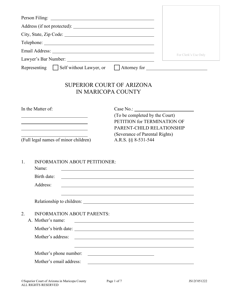| Person Filing: 2008. Elia and 2008. The contract of the contract of the contract of the contract of the contract of the contract of the contract of the contract of the contract of the contract of the contract of the contra |                                                                                                                        |
|--------------------------------------------------------------------------------------------------------------------------------------------------------------------------------------------------------------------------------|------------------------------------------------------------------------------------------------------------------------|
|                                                                                                                                                                                                                                |                                                                                                                        |
|                                                                                                                                                                                                                                |                                                                                                                        |
|                                                                                                                                                                                                                                |                                                                                                                        |
|                                                                                                                                                                                                                                | For Clerk's Use Only                                                                                                   |
|                                                                                                                                                                                                                                | Representing Self without Lawyer, or Attorney for                                                                      |
| <b>SUPERIOR COURT OF ARIZONA</b><br>IN MARICOPA COUNTY                                                                                                                                                                         |                                                                                                                        |
| In the Matter of:<br><u> 1989 - Johann Barn, mars ann an t-Amhain Aonaich an t-Aonaich an t-Aonaich ann an t-Aonaich an t-Aonaich ann a</u>                                                                                    | (To be completed by the Court)<br>PETITION for TERMINATION OF<br>PARENT-CHILD RELATIONSHIP                             |
| (Full legal names of minor children)                                                                                                                                                                                           | (Severance of Parental Rights)<br>A.R.S. §§ 8-531-544                                                                  |
| <b>INFORMATION ABOUT PETITIONER:</b><br>1.<br>Name:                                                                                                                                                                            | <u> 1980 - John Stein, amerikansk politiker (* 1900)</u>                                                               |
| Birth date:                                                                                                                                                                                                                    | <u> 1989 - Johann Stoff, Amerikaansk politiker († 1908)</u>                                                            |
| Address:                                                                                                                                                                                                                       | <u> 1989 - Johann Stoff, deutscher Stoff, der Stoff, der Stoff, der Stoff, der Stoff, der Stoff, der Stoff, der S</u>  |
|                                                                                                                                                                                                                                |                                                                                                                        |
| 2.<br><b>INFORMATION ABOUT PARENTS:</b><br>A. Mother's name:                                                                                                                                                                   | <u> 1989 - Johann Barn, fransk politik formuler (d. 1989)</u>                                                          |
|                                                                                                                                                                                                                                |                                                                                                                        |
| Mother's address:                                                                                                                                                                                                              | <u> 1980 - Johann Stoff, deutscher Stoffen und der Stoffen und der Stoffen und der Stoffen und der Stoffen und der</u> |
| Mother's phone number:                                                                                                                                                                                                         | <u> 2000 - Andrea Andrew Maria (h. 18</u>                                                                              |
| Mother's email address:                                                                                                                                                                                                        | <u> 1989 - Johann Stein, marwolaethau a bhann an t-Amhain ann an t-Amhain an t-Amhain an t-Amhain an t-Amhain an </u>  |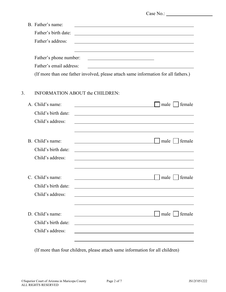|    | B. Father's name:       | <u> 1980 - Johann Stoff, deutscher Stoffen und der Stoffen und der Stoffen und der Stoffen und der Stoffen und de</u> |
|----|-------------------------|-----------------------------------------------------------------------------------------------------------------------|
|    | Father's birth date:    |                                                                                                                       |
|    | Father's address:       | <u> 1989 - Johann John Stone, markin film yn y brening yn y brening yn y brening y brening yn y brening yn y bre</u>  |
|    | Father's phone number:  | <u> 1980 - Johann Barn, mars eta bainar eta baina eta baina eta baina eta baina eta baina eta baina eta baina e</u>   |
|    | Father's email address: |                                                                                                                       |
|    |                         | (If more than one father involved, please attach same information for all fathers.)                                   |
| 3. |                         | <b>INFORMATION ABOUT the CHILDREN:</b>                                                                                |
|    | A. Child's name:        | male<br>female                                                                                                        |
|    | Child's birth date:     | and the control of the control of the control of the control of the control of the control of the control of the      |
|    | Child's address:        |                                                                                                                       |
|    |                         |                                                                                                                       |
|    | B. Child's name:        | $\vert$ male<br>female                                                                                                |
|    | Child's birth date:     |                                                                                                                       |
|    | Child's address:        |                                                                                                                       |
|    |                         |                                                                                                                       |
|    | C. Child's name:        | female<br>male                                                                                                        |

(If more than four children, please attach same information for all children)

D. Child's name:  $\Box$  male  $\Box$  female

Child's birth date:

Child's birth date:

Child's address:

Child's address: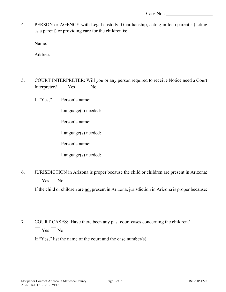4. PERSON or AGENCY with Legal custody, Guardianship, acting in loco parentis (acting as a parent) or providing care for the children is:

| Name:                   | <u> 1980 - Johann Stein, mars an de Frans and de Frans and de Frans and de Frans and de Frans and de Frans and d</u> |
|-------------------------|----------------------------------------------------------------------------------------------------------------------|
| Address:                |                                                                                                                      |
| Interpreter? $\Box$ Yes | COURT INTERPRETER: Will you or any person required to receive Notice need a Court<br>$\vert$   No                    |
|                         |                                                                                                                      |
|                         |                                                                                                                      |
|                         |                                                                                                                      |
|                         |                                                                                                                      |
|                         |                                                                                                                      |
|                         |                                                                                                                      |
| $ $   Yes     No        | JURISDICTION in Arizona is proper because the child or children are present in Arizona:                              |
|                         | If the child or children are not present in Arizona, jurisdiction in Arizona is proper because:                      |
|                         |                                                                                                                      |
|                         | COURT CASES: Have there been any past court cases concerning the children?                                           |
| $Yes \mid \text{No}$    |                                                                                                                      |
|                         | If "Yes," list the name of the court and the case number(s) $\qquad \qquad$                                          |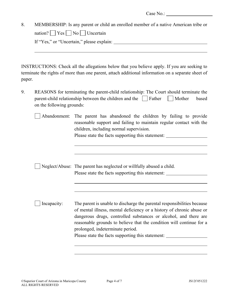| 8. | MEMBERSHIP: Is any parent or child an enrolled member of a native American tribe or |
|----|-------------------------------------------------------------------------------------|
|    | nation? $Yes \cap No \cap Uncertain$                                                |
|    | If "Yes," or "Uncertain," please explain:                                           |
|    |                                                                                     |

INSTRUCTIONS: Check all the allegations below that you believe apply. If you are seeking to terminate the rights of more than one parent, attach additional information on a separate sheet of paper.

9. REASONS for terminating the parent-child relationship: The Court should terminate the parent-child relationship between the children and the  $\parallel$  Father  $\parallel$  Mother based on the following grounds:

| Abandonment: The parent has abandoned the children by failing to provide |  |  |  |                                                                     |  |  |  |  |
|--------------------------------------------------------------------------|--|--|--|---------------------------------------------------------------------|--|--|--|--|
|                                                                          |  |  |  | reasonable support and failing to maintain regular contact with the |  |  |  |  |
| children, including normal supervision.                                  |  |  |  |                                                                     |  |  |  |  |
| Please state the facts supporting this statement:                        |  |  |  |                                                                     |  |  |  |  |

|  | $\Box$ Neglect/Abuse: The parent has neglected or willfully abused a child. |
|--|-----------------------------------------------------------------------------|
|  | Please state the facts supporting this statement:                           |

Incapacity: The parent is unable to discharge the parental responsibilities because of mental illness, mental deficiency or a history of chronic abuse or dangerous drugs, controlled substances or alcohol, and there are reasonable grounds to believe that the condition will continue for a prolonged, indeterminate period. Please state the facts supporting this statement: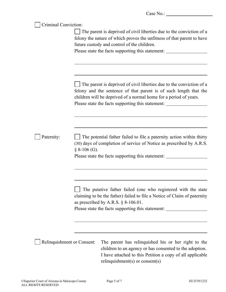| Criminal Conviction:       | The parent is deprived of civil liberties due to the conviction of a<br>felony the nature of which proves the unfitness of that parent to have<br>future custody and control of the children.<br>Please state the facts supporting this statement: ______________________________                   |  |  |  |  |
|----------------------------|-----------------------------------------------------------------------------------------------------------------------------------------------------------------------------------------------------------------------------------------------------------------------------------------------------|--|--|--|--|
|                            | The parent is deprived of civil liberties due to the conviction of a<br>felony and the sentence of that parent is of such length that the<br>children will be deprived of a normal home for a period of years.<br>Please state the facts supporting this statement: _______________________________ |  |  |  |  |
| Paternity:                 | The potential father failed to file a paternity action within thirty<br>(30) days of completion of service of Notice as prescribed by A.R.S.<br>$§ 8-106$ (G).<br>Please state the facts supporting this statement: ______________________________                                                  |  |  |  |  |
|                            | The putative father failed (one who registered with the state<br>claiming to be the father) failed to file a Notice of Claim of paternity<br>as prescribed by A.R.S. $\S$ 8-106.01.<br>Please state the facts supporting this statement:                                                            |  |  |  |  |
| Relinquishment or Consent: | The parent has relinquished his or her right to the<br>children to an agency or has consented to the adoption.<br>I have attached to this Petition a copy of all applicable<br>relinquishment(s) or consent(s)                                                                                      |  |  |  |  |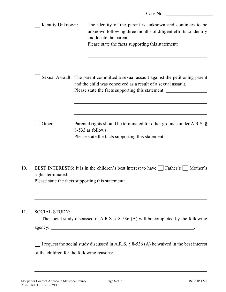| Identity Unknown:    | The identity of the parent is unknown and continues to be<br>unknown following three months of diligent efforts to identify<br>and locate the parent.<br>Please state the facts supporting this statement:                               |
|----------------------|------------------------------------------------------------------------------------------------------------------------------------------------------------------------------------------------------------------------------------------|
|                      | Sexual Assault: The parent committed a sexual assault against the petitioning parent<br>and the child was conceived as a result of a sexual assault.<br>Please state the facts supporting this statement: ______________________________ |
| Other:               | Parental rights should be terminated for other grounds under A.R.S. $\S$<br>8-533 as follows:<br>Please state the facts supporting this statement:                                                                                       |
| rights terminated.   | BEST INTERESTS: It is in the children's best interest to have     Father's     Mother's<br>Please state the facts supporting this statement:                                                                                             |
| <b>SOCIAL STUDY:</b> | The social study discussed in A.R.S. $\S$ 8-536 (A) will be completed by the following                                                                                                                                                   |
|                      | I request the social study discussed in A.R.S. $\S$ 8-536 (A) be waived in the best interest                                                                                                                                             |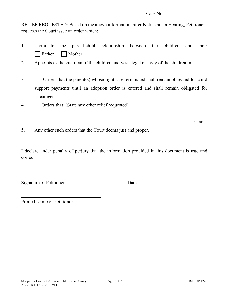; and

RELIEF REQUESTED: Based on the above information, after Notice and a Hearing, Petitioner requests the Court issue an order which:

|                             | Terminate the parent-child relationship between the children and their |  |  |  |
|-----------------------------|------------------------------------------------------------------------|--|--|--|
| $\Box$ Father $\Box$ Mother |                                                                        |  |  |  |

- 2. Appoints as the guardian of the children and vests legal custody of the children in:
- $3. \Box$  Orders that the parent(s) whose rights are terminated shall remain obligated for child support payments until an adoption order is entered and shall remain obligated for arrearages;
- 4.  $\Box$  Orders that: (State any other relief requested):
- 5. Any other such orders that the Court deems just and proper.

I declare under penalty of perjury that the information provided in this document is true and correct.

Signature of Petitioner Date

Printed Name of Petitioner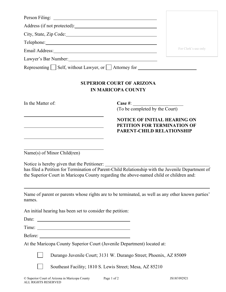| Person Filing: 2008. Elimination of the contract of the contract of the contract of the contract of the contract of the contract of the contract of the contract of the contract of the contract of the contract of the contra                                            |                                                                                                        |                      |
|---------------------------------------------------------------------------------------------------------------------------------------------------------------------------------------------------------------------------------------------------------------------------|--------------------------------------------------------------------------------------------------------|----------------------|
|                                                                                                                                                                                                                                                                           |                                                                                                        |                      |
| City, State, Zip Code:                                                                                                                                                                                                                                                    |                                                                                                        |                      |
| Telephone: New York Changes and Telephone:                                                                                                                                                                                                                                |                                                                                                        |                      |
| Email Address: North and South Address:                                                                                                                                                                                                                                   |                                                                                                        | For Clerk's use only |
| Lawyer's Bar Number: 1997                                                                                                                                                                                                                                                 |                                                                                                        |                      |
| Representing $\Box$ Self, without Lawyer, or $\Box$ Attorney for $\Box$                                                                                                                                                                                                   |                                                                                                        |                      |
|                                                                                                                                                                                                                                                                           | <b>SUPERIOR COURT OF ARIZONA</b><br><b>IN MARICOPA COUNTY</b>                                          |                      |
| In the Matter of:                                                                                                                                                                                                                                                         | Case $\#$ :<br>(To be completed by the Court)                                                          |                      |
| <u> 1989 - Johann Harry Harry Harry Harry Harry Harry Harry Harry Harry Harry Harry Harry Harry Harry Harry Harry</u>                                                                                                                                                     | <b>NOTICE OF INITIAL HEARING ON</b><br>PETITION FOR TERMINATION OF<br><b>PARENT-CHILD RELATIONSHIP</b> |                      |
| Name(s) of Minor Child(ren)<br>Notice is hereby given that the Petitioner:<br>has filed a Petition for Termination of Parent-Child Relationship with the Juvenile Department of<br>the Superior Court in Maricopa County regarding the above-named child or children and: |                                                                                                        |                      |
| Name of parent or parents whose rights are to be terminated, as well as any other known parties'<br>names.                                                                                                                                                                |                                                                                                        |                      |
| An initial hearing has been set to consider the petition:                                                                                                                                                                                                                 |                                                                                                        |                      |
| Date:                                                                                                                                                                                                                                                                     |                                                                                                        |                      |
|                                                                                                                                                                                                                                                                           |                                                                                                        |                      |
|                                                                                                                                                                                                                                                                           |                                                                                                        |                      |
| At the Maricopa County Superior Court (Juvenile Department) located at:                                                                                                                                                                                                   |                                                                                                        |                      |
|                                                                                                                                                                                                                                                                           | Durango Juvenile Court; 3131 W. Durango Street; Phoenix, AZ 85009                                      |                      |
|                                                                                                                                                                                                                                                                           | Southeast Facility; 1810 S. Lewis Street; Mesa, AZ 85210                                               |                      |
| © Superior Court of Arizona in Maricopa County                                                                                                                                                                                                                            | Page 1 of 2                                                                                            | JS18f 092921         |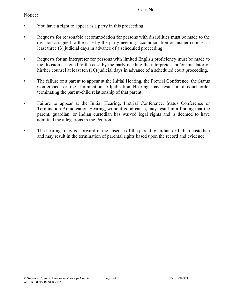#### Notice:

- You have a right to appear as a party in this proceeding.
- Requests for reasonable accommodation for persons with disabilities must be made to the division assigned to the case by the party needing accommodation or his/her counsel at least three (3) judicial days in advance of a scheduled proceeding.
- Requests for an interpreter for persons with limited English proficiency must be made to the division assigned to the case by the party needing the interpreter and/or translator or his/her counsel at least ten (10) judicial days in advance of a scheduled court proceeding.
- The failure of a parent to appear at the Initial Hearing, the Pretrial Conference, the Status Conference, or the Termination Adjudication Hearing may result in a court order terminating the parent-child relationship of that parent.
- Failure to appear at the Initial Hearing, Pretrial Conference, Status Conference or Termination Adjudication Hearing, without good cause, may result in a finding that the parent, guardian, or Indian custodian has waived legal rights and is deemed to have admitted the allegations in the Petition.
- The hearings may go forward in the absence of the parent, guardian or Indian custodian and may result in the termination of parental rights based upon the record and evidence.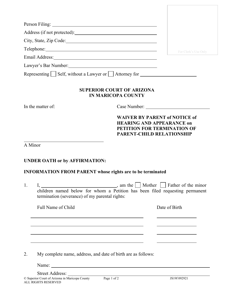| For Clerk's Use Only                                                     |
|--------------------------------------------------------------------------|
|                                                                          |
|                                                                          |
| Representing $\Box$ Self, without a Lawyer or $\Box$ Attorney for $\Box$ |
|                                                                          |
| Case Number:                                                             |
| <b>WAIVER BY PARENT of NOTICE of</b><br>PETITION FOR TERMINATION OF      |
|                                                                          |
|                                                                          |
|                                                                          |
|                                                                          |
|                                                                          |
|                                                                          |
|                                                                          |
|                                                                          |
|                                                                          |
|                                                                          |
|                                                                          |

Name: